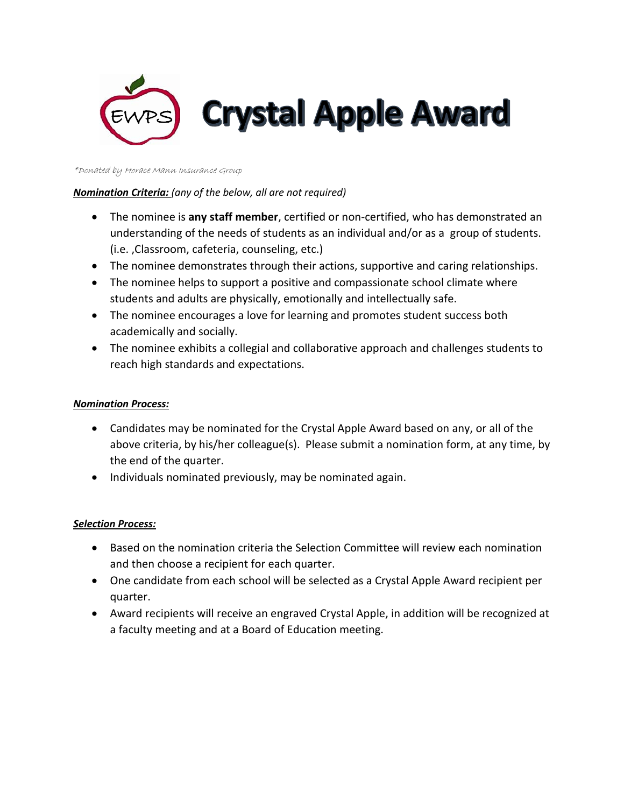

\*Donated by Horace Mann Insurance Group

## *Nomination Criteria: (any of the below, all are not required)*

- The nominee is **any staff member**, certified or non-certified, who has demonstrated an understanding of the needs of students as an individual and/or as a group of students. (i.e. ,Classroom, cafeteria, counseling, etc.)
- The nominee demonstrates through their actions, supportive and caring relationships.
- The nominee helps to support a positive and compassionate school climate where students and adults are physically, emotionally and intellectually safe.
- The nominee encourages a love for learning and promotes student success both academically and socially.
- The nominee exhibits a collegial and collaborative approach and challenges students to reach high standards and expectations.

## *Nomination Process:*

- Candidates may be nominated for the Crystal Apple Award based on any, or all of the above criteria, by his/her colleague(s). Please submit a nomination form, at any time, by the end of the quarter.
- Individuals nominated previously, may be nominated again.

## *Selection Process:*

- Based on the nomination criteria the Selection Committee will review each nomination and then choose a recipient for each quarter.
- One candidate from each school will be selected as a Crystal Apple Award recipient per quarter.
- Award recipients will receive an engraved Crystal Apple, in addition will be recognized at a faculty meeting and at a Board of Education meeting.